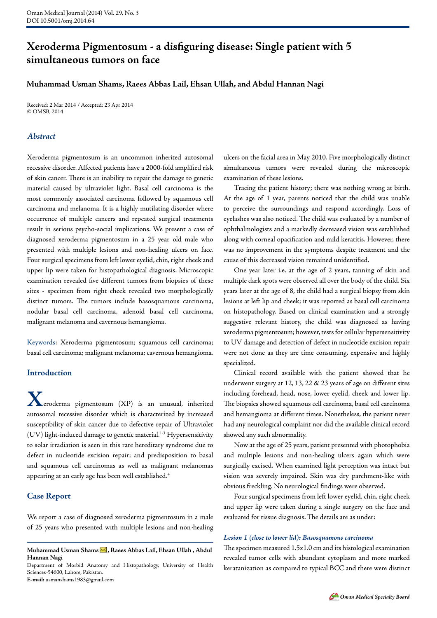# **Xeroderma Pigmentosum - a disfiguring disease: Single patient with 5 simultaneous tumors on face**

### **Muhammad Usman Shams, Raees Abbas Lail, Ehsan Ullah, and Abdul Hannan Nagi**

Received: 2 Mar 2014 / Accepted: 23 Apr 2014 © OMSB, 2014

### *Abstract*

Xeroderma pigmentosum is an uncommon inherited autosomal recessive disorder. Affected patients have a 2000-fold amplified risk of skin cancer. There is an inability to repair the damage to genetic material caused by ultraviolet light. Basal cell carcinoma is the most commonly associated carcinoma followed by squamous cell carcinoma and melanoma. It is a highly mutilating disorder where occurrence of multiple cancers and repeated surgical treatments result in serious psycho-social implications. We present a case of diagnosed xeroderma pigmentosum in a 25 year old male who presented with multiple lesions and non-healing ulcers on face. Four surgical specimens from left lower eyelid, chin, right cheek and upper lip were taken for histopathological diagnosis. Microscopic examination revealed five different tumors from biopsies of these sites - specimen from right cheek revealed two morphologically distinct tumors. The tumors include basosquamous carcinoma, nodular basal cell carcinoma, adenoid basal cell carcinoma, malignant melanoma and cavernous hemangioma.

Keywords: Xeroderma pigmentosum; squamous cell carcinoma; basal cell carcinoma; malignant melanoma; cavernous hemangioma.

### **Introduction**

**X**eroderma pigmentosum (XP) is an unusual, inherited autosomal recessive disorder which is characterized by increased susceptibility of skin cancer due to defective repair of Ultraviolet (UV) light-induced damage to genetic material.1-3 Hypersensitivity to solar irradiation is seen in this rare hereditary syndrome due to defect in nucleotide excision repair; and predisposition to basal and squamous cell carcinomas as well as malignant melanomas appearing at an early age has been well established.4

### **Case Report**

We report a case of diagnosed xeroderma pigmentosum in a male of 25 years who presented with multiple lesions and non-healing

Department of Morbid Anatomy and Histopathology, University of Health Sciences-54600, Lahore, Pakistan. **E-mail:** usmanshams1983@gmail.com

ulcers on the facial area in May 2010. Five morphologically distinct simultaneous tumors were revealed during the microscopic examination of these lesions.

Tracing the patient history; there was nothing wrong at birth. At the age of 1 year, parents noticed that the child was unable to perceive the surroundings and respond accordingly. Loss of eyelashes was also noticed. The child was evaluated by a number of ophthalmologists and a markedly decreased vision was established along with corneal opacification and mild keratitis. However, there was no improvement in the symptoms despite treatment and the cause of this decreased vision remained unidentified.

One year later i.e. at the age of 2 years, tanning of skin and multiple dark spots were observed all over the body of the child. Six years later at the age of 8, the child had a surgical biopsy from skin lesions at left lip and cheek; it was reported as basal cell carcinoma on histopathology. Based on clinical examination and a strongly suggestive relevant history, the child was diagnosed as having xeroderma pigmentosum; however, tests for cellular hypersensitivity to UV damage and detection of defect in nucleotide excision repair were not done as they are time consuming, expensive and highly specialized.

Clinical record available with the patient showed that he underwent surgery at 12, 13, 22 & 23 years of age on different sites including forehead, head, nose, lower eyelid, cheek and lower lip. The biopsies showed squamous cell carcinoma, basal cell carcinoma and hemangioma at different times. Nonetheless, the patient never had any neurological complaint nor did the available clinical record showed any such abnormality.

Now at the age of 25 years, patient presented with photophobia and multiple lesions and non-healing ulcers again which were surgically excised. When examined light perception was intact but vision was severely impaired. Skin was dry parchment-like with obvious freckling. No neurological findings were observed.

Four surgical specimens from left lower eyelid, chin, right cheek and upper lip were taken during a single surgery on the face and evaluated for tissue diagnosis. The details are as under:

#### *Lesion 1 (close to lower lid): Basosquamous carcinoma*

The specimen measured 1.5x1.0 cm and its histological examination revealed tumor cells with abundant cytoplasm and more marked keratanization as compared to typical BCC and there were distinct

Muhammad Usman Shams **M**, Raees Abbas Lail, Ehsan Ullah , Abdul **Hannan Nagi**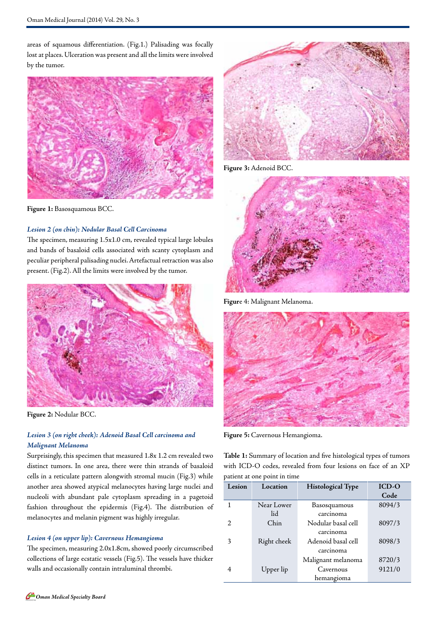areas of squamous differentiation. (Fig.1.) Palisading was focally lost at places. Ulceration was present and all the limits were involved by the tumor.



**Figure 1:** Basosquamous BCC.

### *Lesion 2 (on chin): Nodular Basal Cell Carcinoma*

The specimen, measuring 1.5x1.0 cm, revealed typical large lobules and bands of basaloid cells associated with scanty cytoplasm and peculiar peripheral palisading nuclei. Artefactual retraction was also present. (Fig.2). All the limits were involved by the tumor.



**Figure 2:** Nodular BCC.

### *Lesion 3 (on right cheek): Adenoid Basal Cell carcinoma and Malignant Melanoma*

Surprisingly, this specimen that measured 1.8x 1.2 cm revealed two distinct tumors. In one area, there were thin strands of basaloid cells in a reticulate pattern alongwith stromal mucin (Fig.3) while another area showed atypical melanocytes having large nuclei and nucleoli with abundant pale cytoplasm spreading in a pagetoid fashion throughout the epidermis (Fig.4). The distribution of melanocytes and melanin pigment was highly irregular.

## *Lesion 4 (on upper lip): Cavernous Hemangioma*

The specimen, measuring 2.0x1.8cm, showed poorly circumscribed collections of large ecstatic vessels (Fig.5). The vessels have thicker walls and occasionally contain intraluminal thrombi.



**Figure 3:** Adenoid BCC.



**Figur**e 4: Malignant Melanoma.



**Figure 5:** Cavernous Hemangioma.

**Table 1:** Summary of location and five histological types of tumors with ICD-O codes, revealed from four lesions on face of an XP patient at one point in time

| Lesion                      | Location    | <b>Histological Type</b> | <b>ICD-O</b> |
|-----------------------------|-------------|--------------------------|--------------|
|                             |             |                          | Code         |
| 1                           | Near Lower  | Basosquamous             | 8094/3       |
|                             | lid         | carcinoma                |              |
| $\mathcal{D}_{\mathcal{L}}$ | Chin        | Nodular basal cell       | 8097/3       |
|                             |             | carcinoma                |              |
| 3                           | Right cheek | Adenoid basal cell       | 8098/3       |
|                             |             | carcinoma                |              |
|                             |             | Malignant melanoma       | 8720/3       |
| 4                           | Upper lip   | Cavernous                | 9121/0       |
|                             |             | hemangioma               |              |